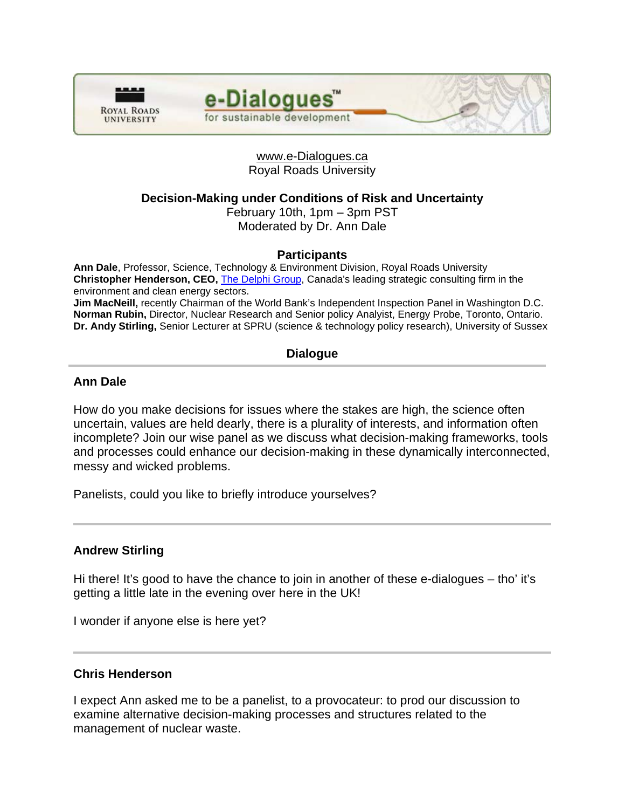



# www.e-Dialogues.ca Royal Roads University

# **Decision-Making under Conditions of Risk and Uncertainty**

February 10th, 1pm – 3pm PST Moderated by Dr. Ann Dale

# **Participants**

**Ann Dale**, Professor, Science, Technology & Environment Division, Royal Roads University **Christopher Henderson, CEO,** [The Delphi Group](http://www.delphi.ca/), Canada's leading strategic consulting firm in the environment and clean energy sectors.

**Jim MacNeill,** recently Chairman of the World Bank's Independent Inspection Panel in Washington D.C. **Norman Rubin,** Director, Nuclear Research and Senior policy Analyist, Energy Probe, Toronto, Ontario. **Dr. Andy Stirling,** Senior Lecturer at SPRU (science & technology policy research), University of Sussex

# **Dialogue**

# **Ann Dale**

How do you make decisions for issues where the stakes are high, the science often uncertain, values are held dearly, there is a plurality of interests, and information often incomplete? Join our wise panel as we discuss what decision-making frameworks, tools and processes could enhance our decision-making in these dynamically interconnected, messy and wicked problems.

Panelists, could you like to briefly introduce yourselves?

# **Andrew Stirling**

Hi there! It's good to have the chance to join in another of these e-dialogues – tho' it's getting a little late in the evening over here in the UK!

I wonder if anyone else is here yet?

# **Chris Henderson**

I expect Ann asked me to be a panelist, to a provocateur: to prod our discussion to examine alternative decision-making processes and structures related to the management of nuclear waste.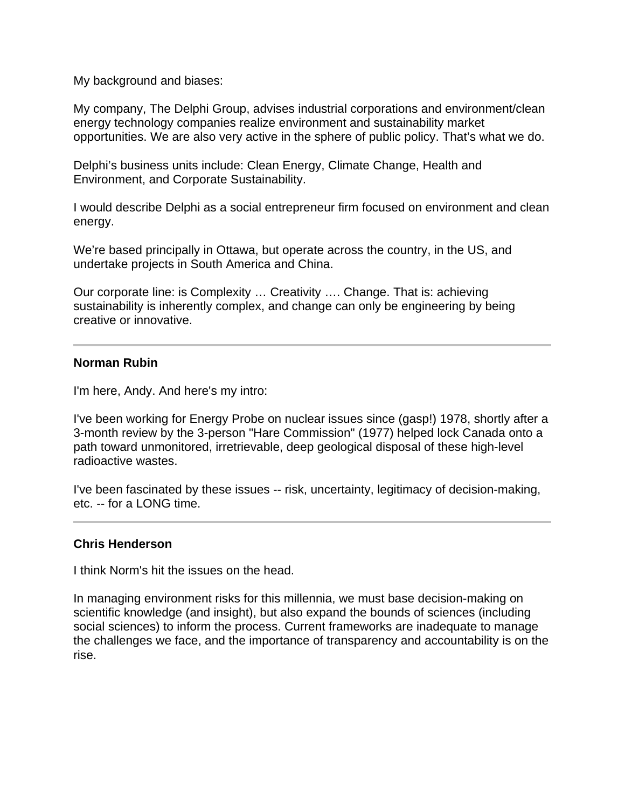My background and biases:

My company, The Delphi Group, advises industrial corporations and environment/clean energy technology companies realize environment and sustainability market opportunities. We are also very active in the sphere of public policy. That's what we do.

Delphi's business units include: Clean Energy, Climate Change, Health and Environment, and Corporate Sustainability.

I would describe Delphi as a social entrepreneur firm focused on environment and clean energy.

We're based principally in Ottawa, but operate across the country, in the US, and undertake projects in South America and China.

Our corporate line: is Complexity … Creativity …. Change. That is: achieving sustainability is inherently complex, and change can only be engineering by being creative or innovative.

### **Norman Rubin**

I'm here, Andy. And here's my intro:

I've been working for Energy Probe on nuclear issues since (gasp!) 1978, shortly after a 3-month review by the 3-person "Hare Commission" (1977) helped lock Canada onto a path toward unmonitored, irretrievable, deep geological disposal of these high-level radioactive wastes.

I've been fascinated by these issues -- risk, uncertainty, legitimacy of decision-making, etc. -- for a LONG time.

#### **Chris Henderson**

I think Norm's hit the issues on the head.

In managing environment risks for this millennia, we must base decision-making on scientific knowledge (and insight), but also expand the bounds of sciences (including social sciences) to inform the process. Current frameworks are inadequate to manage the challenges we face, and the importance of transparency and accountability is on the rise.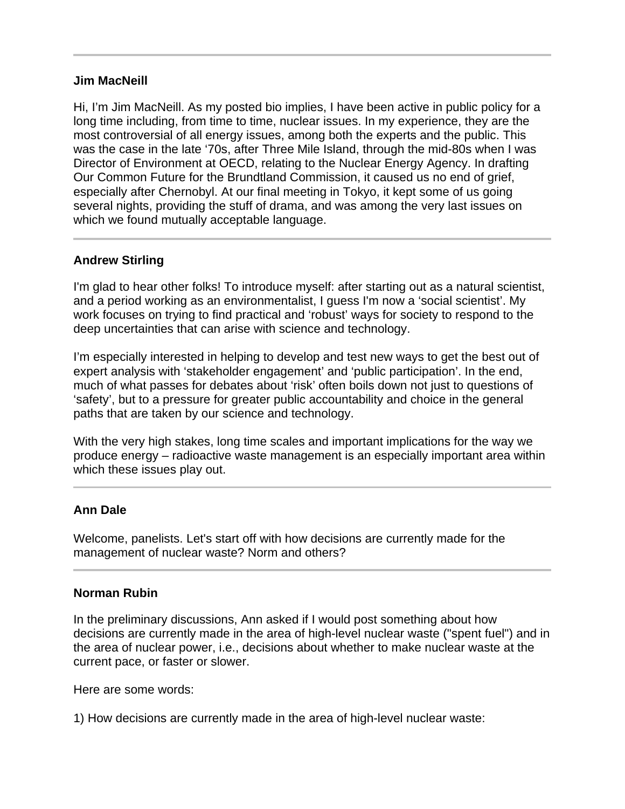### **Jim MacNeill**

Hi, I'm Jim MacNeill. As my posted bio implies, I have been active in public policy for a long time including, from time to time, nuclear issues. In my experience, they are the most controversial of all energy issues, among both the experts and the public. This was the case in the late '70s, after Three Mile Island, through the mid-80s when I was Director of Environment at OECD, relating to the Nuclear Energy Agency. In drafting Our Common Future for the Brundtland Commission, it caused us no end of grief, especially after Chernobyl. At our final meeting in Tokyo, it kept some of us going several nights, providing the stuff of drama, and was among the very last issues on which we found mutually acceptable language.

# **Andrew Stirling**

I'm glad to hear other folks! To introduce myself: after starting out as a natural scientist, and a period working as an environmentalist, I guess I'm now a 'social scientist'. My work focuses on trying to find practical and 'robust' ways for society to respond to the deep uncertainties that can arise with science and technology.

I'm especially interested in helping to develop and test new ways to get the best out of expert analysis with 'stakeholder engagement' and 'public participation'. In the end, much of what passes for debates about 'risk' often boils down not just to questions of 'safety', but to a pressure for greater public accountability and choice in the general paths that are taken by our science and technology.

With the very high stakes, long time scales and important implications for the way we produce energy – radioactive waste management is an especially important area within which these issues play out.

# **Ann Dale**

Welcome, panelists. Let's start off with how decisions are currently made for the management of nuclear waste? Norm and others?

#### **Norman Rubin**

In the preliminary discussions, Ann asked if I would post something about how decisions are currently made in the area of high-level nuclear waste ("spent fuel") and in the area of nuclear power, i.e., decisions about whether to make nuclear waste at the current pace, or faster or slower.

Here are some words:

1) How decisions are currently made in the area of high-level nuclear waste: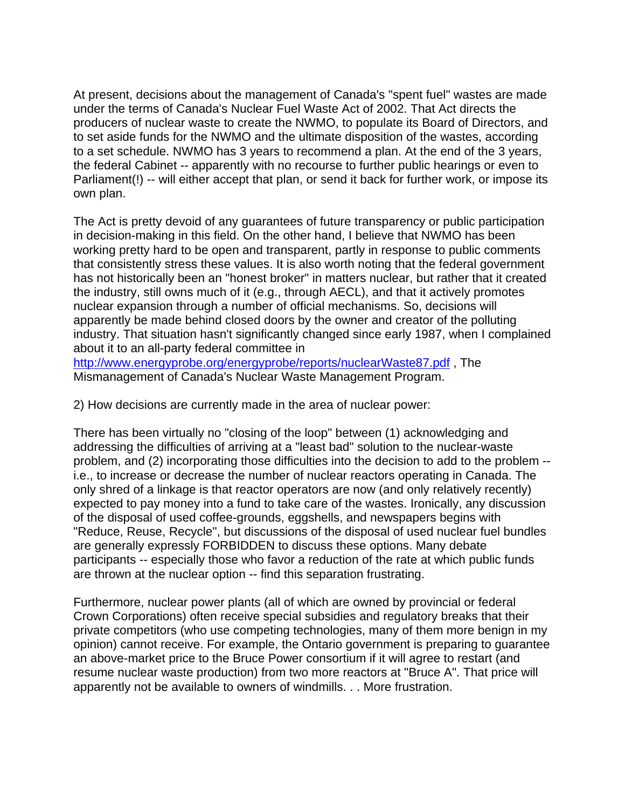At present, decisions about the management of Canada's "spent fuel" wastes are made under the terms of Canada's Nuclear Fuel Waste Act of 2002. That Act directs the producers of nuclear waste to create the NWMO, to populate its Board of Directors, and to set aside funds for the NWMO and the ultimate disposition of the wastes, according to a set schedule. NWMO has 3 years to recommend a plan. At the end of the 3 years, the federal Cabinet -- apparently with no recourse to further public hearings or even to Parliament(!) -- will either accept that plan, or send it back for further work, or impose its own plan.

The Act is pretty devoid of any guarantees of future transparency or public participation in decision-making in this field. On the other hand, I believe that NWMO has been working pretty hard to be open and transparent, partly in response to public comments that consistently stress these values. It is also worth noting that the federal government has not historically been an "honest broker" in matters nuclear, but rather that it created the industry, still owns much of it (e.g., through AECL), and that it actively promotes nuclear expansion through a number of official mechanisms. So, decisions will apparently be made behind closed doors by the owner and creator of the polluting industry. That situation hasn't significantly changed since early 1987, when I complained about it to an all-party federal committee in

<http://www.energyprobe.org/energyprobe/reports/nuclearWaste87.pdf>, The Mismanagement of Canada's Nuclear Waste Management Program.

2) How decisions are currently made in the area of nuclear power:

There has been virtually no "closing of the loop" between (1) acknowledging and addressing the difficulties of arriving at a "least bad" solution to the nuclear-waste problem, and (2) incorporating those difficulties into the decision to add to the problem - i.e., to increase or decrease the number of nuclear reactors operating in Canada. The only shred of a linkage is that reactor operators are now (and only relatively recently) expected to pay money into a fund to take care of the wastes. Ironically, any discussion of the disposal of used coffee-grounds, eggshells, and newspapers begins with "Reduce, Reuse, Recycle", but discussions of the disposal of used nuclear fuel bundles are generally expressly FORBIDDEN to discuss these options. Many debate participants -- especially those who favor a reduction of the rate at which public funds are thrown at the nuclear option -- find this separation frustrating.

Furthermore, nuclear power plants (all of which are owned by provincial or federal Crown Corporations) often receive special subsidies and regulatory breaks that their private competitors (who use competing technologies, many of them more benign in my opinion) cannot receive. For example, the Ontario government is preparing to guarantee an above-market price to the Bruce Power consortium if it will agree to restart (and resume nuclear waste production) from two more reactors at "Bruce A". That price will apparently not be available to owners of windmills. . . More frustration.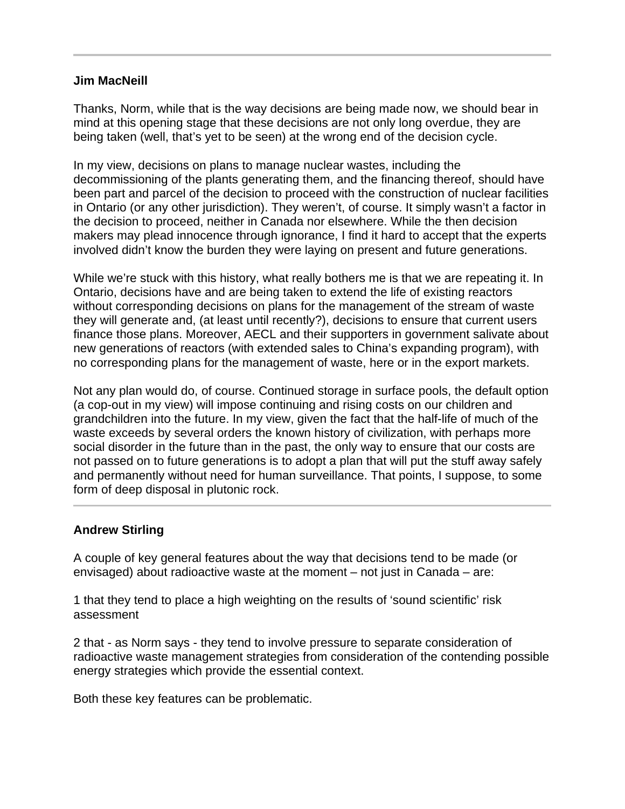### **Jim MacNeill**

Thanks, Norm, while that is the way decisions are being made now, we should bear in mind at this opening stage that these decisions are not only long overdue, they are being taken (well, that's yet to be seen) at the wrong end of the decision cycle.

In my view, decisions on plans to manage nuclear wastes, including the decommissioning of the plants generating them, and the financing thereof, should have been part and parcel of the decision to proceed with the construction of nuclear facilities in Ontario (or any other jurisdiction). They weren't, of course. It simply wasn't a factor in the decision to proceed, neither in Canada nor elsewhere. While the then decision makers may plead innocence through ignorance, I find it hard to accept that the experts involved didn't know the burden they were laying on present and future generations.

While we're stuck with this history, what really bothers me is that we are repeating it. In Ontario, decisions have and are being taken to extend the life of existing reactors without corresponding decisions on plans for the management of the stream of waste they will generate and, (at least until recently?), decisions to ensure that current users finance those plans. Moreover, AECL and their supporters in government salivate about new generations of reactors (with extended sales to China's expanding program), with no corresponding plans for the management of waste, here or in the export markets.

Not any plan would do, of course. Continued storage in surface pools, the default option (a cop-out in my view) will impose continuing and rising costs on our children and grandchildren into the future. In my view, given the fact that the half-life of much of the waste exceeds by several orders the known history of civilization, with perhaps more social disorder in the future than in the past, the only way to ensure that our costs are not passed on to future generations is to adopt a plan that will put the stuff away safely and permanently without need for human surveillance. That points, I suppose, to some form of deep disposal in plutonic rock.

# **Andrew Stirling**

A couple of key general features about the way that decisions tend to be made (or envisaged) about radioactive waste at the moment – not just in Canada – are:

1 that they tend to place a high weighting on the results of 'sound scientific' risk assessment

2 that - as Norm says - they tend to involve pressure to separate consideration of radioactive waste management strategies from consideration of the contending possible energy strategies which provide the essential context.

Both these key features can be problematic.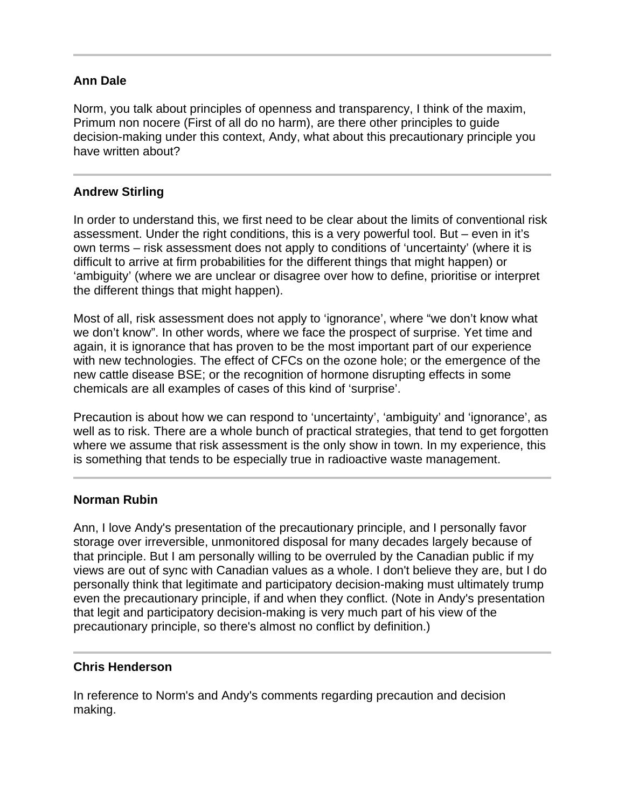Norm, you talk about principles of openness and transparency, I think of the maxim, Primum non nocere (First of all do no harm), are there other principles to guide decision-making under this context, Andy, what about this precautionary principle you have written about?

# **Andrew Stirling**

In order to understand this, we first need to be clear about the limits of conventional risk assessment. Under the right conditions, this is a very powerful tool. But – even in it's own terms – risk assessment does not apply to conditions of 'uncertainty' (where it is difficult to arrive at firm probabilities for the different things that might happen) or 'ambiguity' (where we are unclear or disagree over how to define, prioritise or interpret the different things that might happen).

Most of all, risk assessment does not apply to 'ignorance', where "we don't know what we don't know". In other words, where we face the prospect of surprise. Yet time and again, it is ignorance that has proven to be the most important part of our experience with new technologies. The effect of CFCs on the ozone hole; or the emergence of the new cattle disease BSE; or the recognition of hormone disrupting effects in some chemicals are all examples of cases of this kind of 'surprise'.

Precaution is about how we can respond to 'uncertainty', 'ambiguity' and 'ignorance', as well as to risk. There are a whole bunch of practical strategies, that tend to get forgotten where we assume that risk assessment is the only show in town. In my experience, this is something that tends to be especially true in radioactive waste management.

# **Norman Rubin**

Ann, I love Andy's presentation of the precautionary principle, and I personally favor storage over irreversible, unmonitored disposal for many decades largely because of that principle. But I am personally willing to be overruled by the Canadian public if my views are out of sync with Canadian values as a whole. I don't believe they are, but I do personally think that legitimate and participatory decision-making must ultimately trump even the precautionary principle, if and when they conflict. (Note in Andy's presentation that legit and participatory decision-making is very much part of his view of the precautionary principle, so there's almost no conflict by definition.)

#### **Chris Henderson**

In reference to Norm's and Andy's comments regarding precaution and decision making.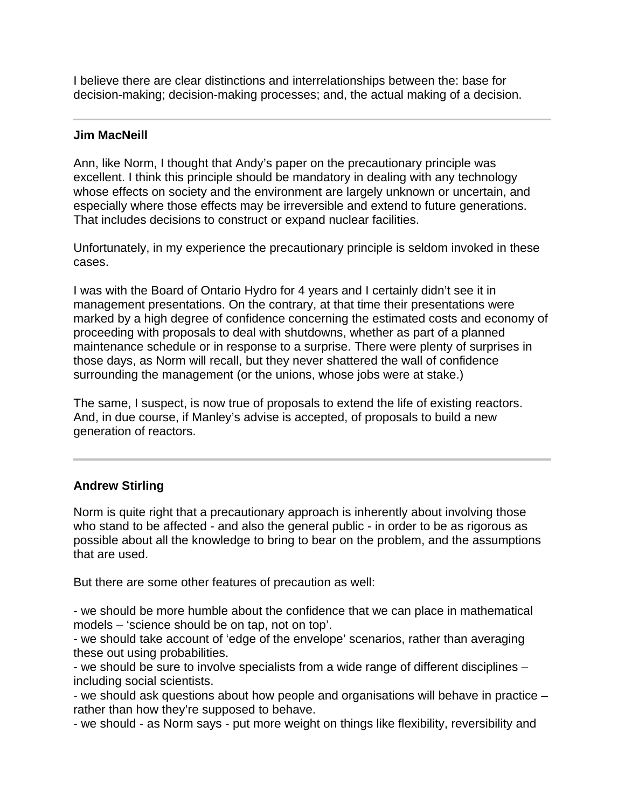I believe there are clear distinctions and interrelationships between the: base for decision-making; decision-making processes; and, the actual making of a decision.

### **Jim MacNeill**

Ann, like Norm, I thought that Andy's paper on the precautionary principle was excellent. I think this principle should be mandatory in dealing with any technology whose effects on society and the environment are largely unknown or uncertain, and especially where those effects may be irreversible and extend to future generations. That includes decisions to construct or expand nuclear facilities.

Unfortunately, in my experience the precautionary principle is seldom invoked in these cases.

I was with the Board of Ontario Hydro for 4 years and I certainly didn't see it in management presentations. On the contrary, at that time their presentations were marked by a high degree of confidence concerning the estimated costs and economy of proceeding with proposals to deal with shutdowns, whether as part of a planned maintenance schedule or in response to a surprise. There were plenty of surprises in those days, as Norm will recall, but they never shattered the wall of confidence surrounding the management (or the unions, whose jobs were at stake.)

The same, I suspect, is now true of proposals to extend the life of existing reactors. And, in due course, if Manley's advise is accepted, of proposals to build a new generation of reactors.

# **Andrew Stirling**

Norm is quite right that a precautionary approach is inherently about involving those who stand to be affected - and also the general public - in order to be as rigorous as possible about all the knowledge to bring to bear on the problem, and the assumptions that are used.

But there are some other features of precaution as well:

- we should be more humble about the confidence that we can place in mathematical models – 'science should be on tap, not on top'.

- we should take account of 'edge of the envelope' scenarios, rather than averaging these out using probabilities.

- we should be sure to involve specialists from a wide range of different disciplines – including social scientists.

- we should ask questions about how people and organisations will behave in practice – rather than how they're supposed to behave.

- we should - as Norm says - put more weight on things like flexibility, reversibility and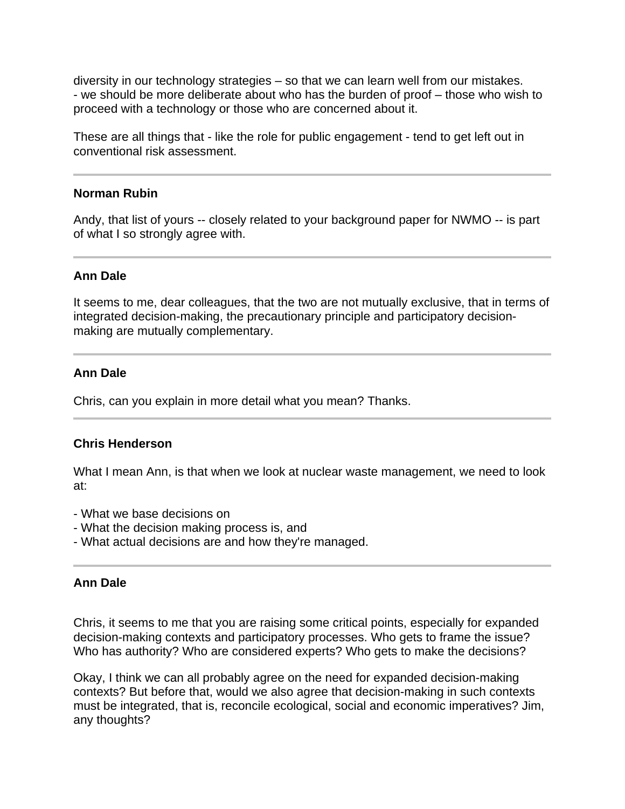diversity in our technology strategies – so that we can learn well from our mistakes. - we should be more deliberate about who has the burden of proof – those who wish to proceed with a technology or those who are concerned about it.

These are all things that - like the role for public engagement - tend to get left out in conventional risk assessment.

### **Norman Rubin**

Andy, that list of yours -- closely related to your background paper for NWMO -- is part of what I so strongly agree with.

### **Ann Dale**

It seems to me, dear colleagues, that the two are not mutually exclusive, that in terms of integrated decision-making, the precautionary principle and participatory decisionmaking are mutually complementary.

# **Ann Dale**

Chris, can you explain in more detail what you mean? Thanks.

#### **Chris Henderson**

What I mean Ann, is that when we look at nuclear waste management, we need to look at:

- What we base decisions on
- What the decision making process is, and
- What actual decisions are and how they're managed.

### **Ann Dale**

Chris, it seems to me that you are raising some critical points, especially for expanded decision-making contexts and participatory processes. Who gets to frame the issue? Who has authority? Who are considered experts? Who gets to make the decisions?

Okay, I think we can all probably agree on the need for expanded decision-making contexts? But before that, would we also agree that decision-making in such contexts must be integrated, that is, reconcile ecological, social and economic imperatives? Jim, any thoughts?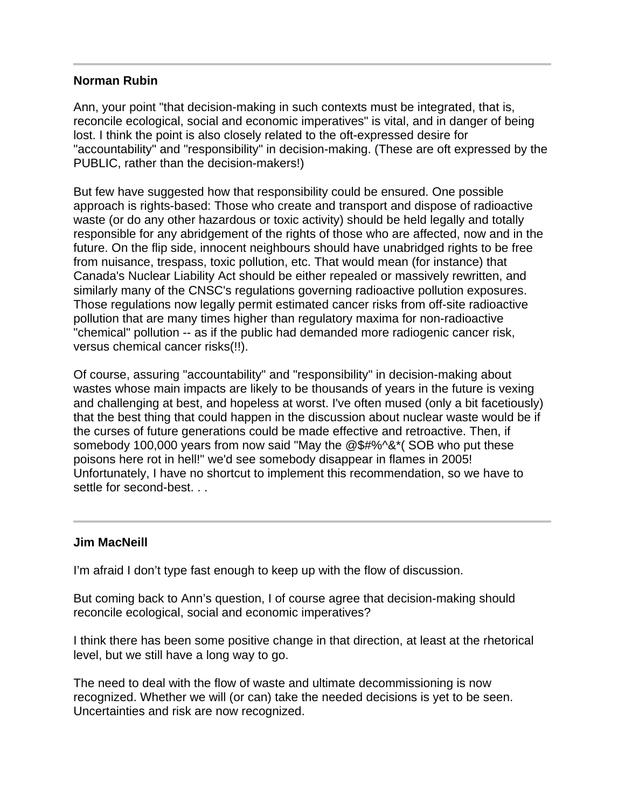### **Norman Rubin**

Ann, your point "that decision-making in such contexts must be integrated, that is, reconcile ecological, social and economic imperatives" is vital, and in danger of being lost. I think the point is also closely related to the oft-expressed desire for "accountability" and "responsibility" in decision-making. (These are oft expressed by the PUBLIC, rather than the decision-makers!)

But few have suggested how that responsibility could be ensured. One possible approach is rights-based: Those who create and transport and dispose of radioactive waste (or do any other hazardous or toxic activity) should be held legally and totally responsible for any abridgement of the rights of those who are affected, now and in the future. On the flip side, innocent neighbours should have unabridged rights to be free from nuisance, trespass, toxic pollution, etc. That would mean (for instance) that Canada's Nuclear Liability Act should be either repealed or massively rewritten, and similarly many of the CNSC's regulations governing radioactive pollution exposures. Those regulations now legally permit estimated cancer risks from off-site radioactive pollution that are many times higher than regulatory maxima for non-radioactive "chemical" pollution -- as if the public had demanded more radiogenic cancer risk, versus chemical cancer risks(!!).

Of course, assuring "accountability" and "responsibility" in decision-making about wastes whose main impacts are likely to be thousands of years in the future is vexing and challenging at best, and hopeless at worst. I've often mused (only a bit facetiously) that the best thing that could happen in the discussion about nuclear waste would be if the curses of future generations could be made effective and retroactive. Then, if somebody 100,000 years from now said "May the @\$#%^&\*( SOB who put these poisons here rot in hell!" we'd see somebody disappear in flames in 2005! Unfortunately, I have no shortcut to implement this recommendation, so we have to settle for second-best. . .

# **Jim MacNeill**

I'm afraid I don't type fast enough to keep up with the flow of discussion.

But coming back to Ann's question, I of course agree that decision-making should reconcile ecological, social and economic imperatives?

I think there has been some positive change in that direction, at least at the rhetorical level, but we still have a long way to go.

The need to deal with the flow of waste and ultimate decommissioning is now recognized. Whether we will (or can) take the needed decisions is yet to be seen. Uncertainties and risk are now recognized.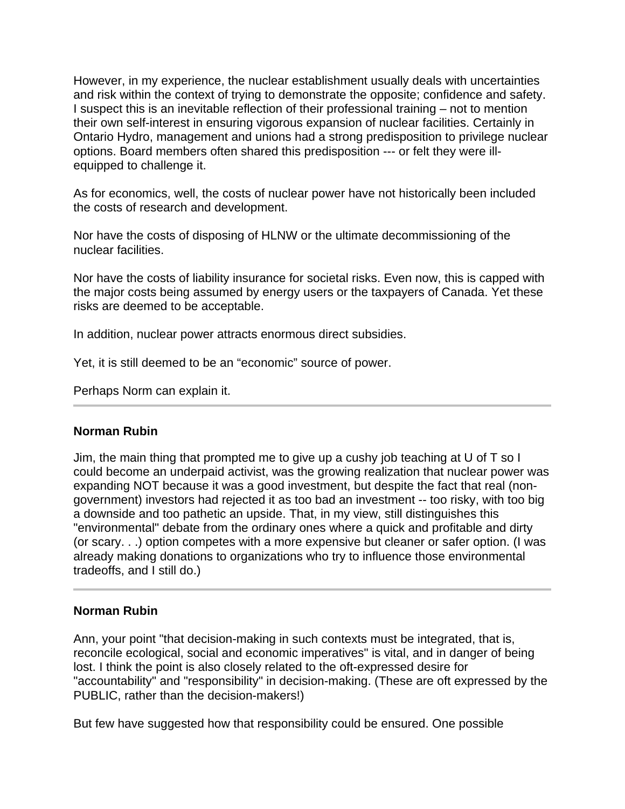However, in my experience, the nuclear establishment usually deals with uncertainties and risk within the context of trying to demonstrate the opposite; confidence and safety. I suspect this is an inevitable reflection of their professional training – not to mention their own self-interest in ensuring vigorous expansion of nuclear facilities. Certainly in Ontario Hydro, management and unions had a strong predisposition to privilege nuclear options. Board members often shared this predisposition --- or felt they were illequipped to challenge it.

As for economics, well, the costs of nuclear power have not historically been included the costs of research and development.

Nor have the costs of disposing of HLNW or the ultimate decommissioning of the nuclear facilities.

Nor have the costs of liability insurance for societal risks. Even now, this is capped with the major costs being assumed by energy users or the taxpayers of Canada. Yet these risks are deemed to be acceptable.

In addition, nuclear power attracts enormous direct subsidies.

Yet, it is still deemed to be an "economic" source of power.

Perhaps Norm can explain it.

#### **Norman Rubin**

Jim, the main thing that prompted me to give up a cushy job teaching at U of T so I could become an underpaid activist, was the growing realization that nuclear power was expanding NOT because it was a good investment, but despite the fact that real (nongovernment) investors had rejected it as too bad an investment -- too risky, with too big a downside and too pathetic an upside. That, in my view, still distinguishes this "environmental" debate from the ordinary ones where a quick and profitable and dirty (or scary. . .) option competes with a more expensive but cleaner or safer option. (I was already making donations to organizations who try to influence those environmental tradeoffs, and I still do.)

#### **Norman Rubin**

Ann, your point "that decision-making in such contexts must be integrated, that is, reconcile ecological, social and economic imperatives" is vital, and in danger of being lost. I think the point is also closely related to the oft-expressed desire for "accountability" and "responsibility" in decision-making. (These are oft expressed by the PUBLIC, rather than the decision-makers!)

But few have suggested how that responsibility could be ensured. One possible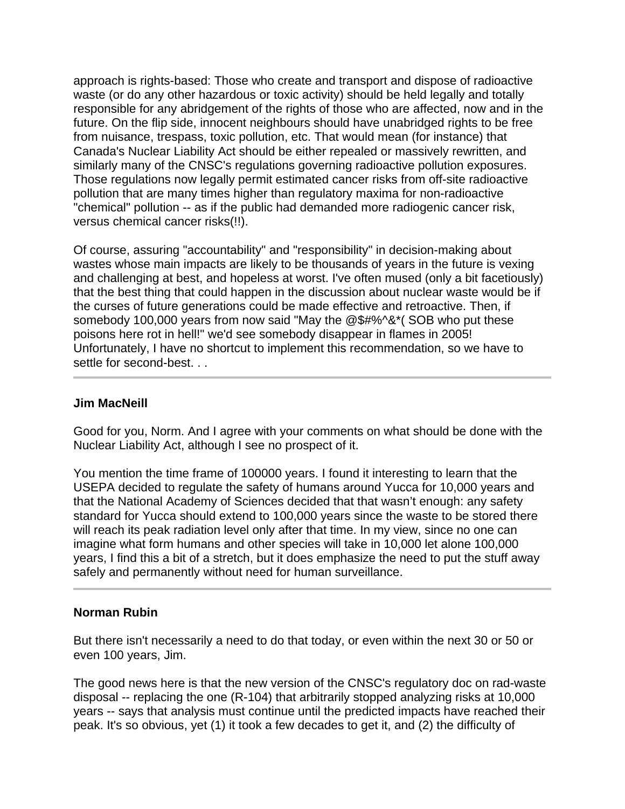approach is rights-based: Those who create and transport and dispose of radioactive waste (or do any other hazardous or toxic activity) should be held legally and totally responsible for any abridgement of the rights of those who are affected, now and in the future. On the flip side, innocent neighbours should have unabridged rights to be free from nuisance, trespass, toxic pollution, etc. That would mean (for instance) that Canada's Nuclear Liability Act should be either repealed or massively rewritten, and similarly many of the CNSC's regulations governing radioactive pollution exposures. Those regulations now legally permit estimated cancer risks from off-site radioactive pollution that are many times higher than regulatory maxima for non-radioactive "chemical" pollution -- as if the public had demanded more radiogenic cancer risk, versus chemical cancer risks(!!).

Of course, assuring "accountability" and "responsibility" in decision-making about wastes whose main impacts are likely to be thousands of years in the future is vexing and challenging at best, and hopeless at worst. I've often mused (only a bit facetiously) that the best thing that could happen in the discussion about nuclear waste would be if the curses of future generations could be made effective and retroactive. Then, if somebody 100,000 years from now said "May the @\$#%^&\*( SOB who put these poisons here rot in hell!" we'd see somebody disappear in flames in 2005! Unfortunately, I have no shortcut to implement this recommendation, so we have to settle for second-best. . .

### **Jim MacNeill**

Good for you, Norm. And I agree with your comments on what should be done with the Nuclear Liability Act, although I see no prospect of it.

You mention the time frame of 100000 years. I found it interesting to learn that the USEPA decided to regulate the safety of humans around Yucca for 10,000 years and that the National Academy of Sciences decided that that wasn't enough: any safety standard for Yucca should extend to 100,000 years since the waste to be stored there will reach its peak radiation level only after that time. In my view, since no one can imagine what form humans and other species will take in 10,000 let alone 100,000 years, I find this a bit of a stretch, but it does emphasize the need to put the stuff away safely and permanently without need for human surveillance.

#### **Norman Rubin**

But there isn't necessarily a need to do that today, or even within the next 30 or 50 or even 100 years, Jim.

The good news here is that the new version of the CNSC's regulatory doc on rad-waste disposal -- replacing the one (R-104) that arbitrarily stopped analyzing risks at 10,000 years -- says that analysis must continue until the predicted impacts have reached their peak. It's so obvious, yet (1) it took a few decades to get it, and (2) the difficulty of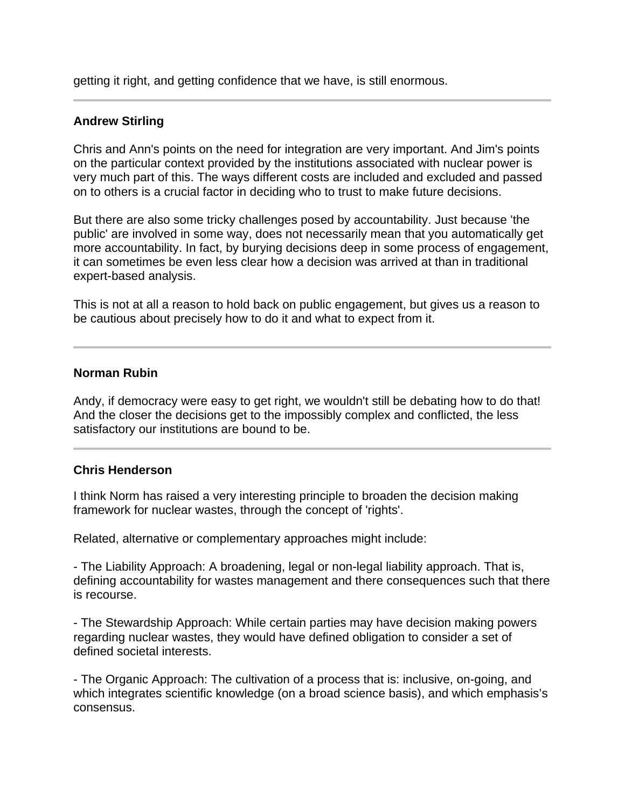getting it right, and getting confidence that we have, is still enormous.

# **Andrew Stirling**

Chris and Ann's points on the need for integration are very important. And Jim's points on the particular context provided by the institutions associated with nuclear power is very much part of this. The ways different costs are included and excluded and passed on to others is a crucial factor in deciding who to trust to make future decisions.

But there are also some tricky challenges posed by accountability. Just because 'the public' are involved in some way, does not necessarily mean that you automatically get more accountability. In fact, by burying decisions deep in some process of engagement, it can sometimes be even less clear how a decision was arrived at than in traditional expert-based analysis.

This is not at all a reason to hold back on public engagement, but gives us a reason to be cautious about precisely how to do it and what to expect from it.

### **Norman Rubin**

Andy, if democracy were easy to get right, we wouldn't still be debating how to do that! And the closer the decisions get to the impossibly complex and conflicted, the less satisfactory our institutions are bound to be.

# **Chris Henderson**

I think Norm has raised a very interesting principle to broaden the decision making framework for nuclear wastes, through the concept of 'rights'.

Related, alternative or complementary approaches might include:

- The Liability Approach: A broadening, legal or non-legal liability approach. That is, defining accountability for wastes management and there consequences such that there is recourse.

- The Stewardship Approach: While certain parties may have decision making powers regarding nuclear wastes, they would have defined obligation to consider a set of defined societal interests.

- The Organic Approach: The cultivation of a process that is: inclusive, on-going, and which integrates scientific knowledge (on a broad science basis), and which emphasis's consensus.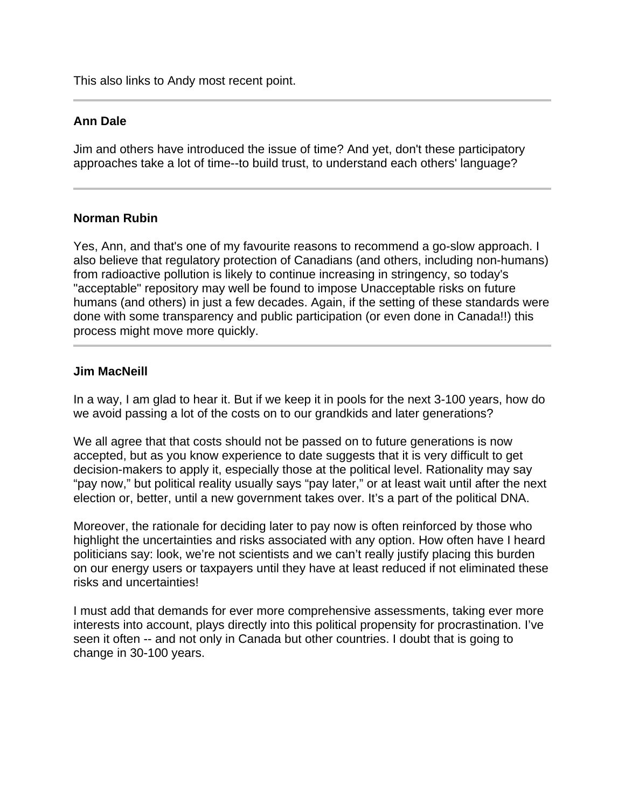This also links to Andy most recent point.

# **Ann Dale**

Jim and others have introduced the issue of time? And yet, don't these participatory approaches take a lot of time--to build trust, to understand each others' language?

# **Norman Rubin**

Yes, Ann, and that's one of my favourite reasons to recommend a go-slow approach. I also believe that regulatory protection of Canadians (and others, including non-humans) from radioactive pollution is likely to continue increasing in stringency, so today's "acceptable" repository may well be found to impose Unacceptable risks on future humans (and others) in just a few decades. Again, if the setting of these standards were done with some transparency and public participation (or even done in Canada!!) this process might move more quickly.

# **Jim MacNeill**

In a way, I am glad to hear it. But if we keep it in pools for the next 3-100 years, how do we avoid passing a lot of the costs on to our grandkids and later generations?

We all agree that that costs should not be passed on to future generations is now accepted, but as you know experience to date suggests that it is very difficult to get decision-makers to apply it, especially those at the political level. Rationality may say "pay now," but political reality usually says "pay later," or at least wait until after the next election or, better, until a new government takes over. It's a part of the political DNA.

Moreover, the rationale for deciding later to pay now is often reinforced by those who highlight the uncertainties and risks associated with any option. How often have I heard politicians say: look, we're not scientists and we can't really justify placing this burden on our energy users or taxpayers until they have at least reduced if not eliminated these risks and uncertainties!

I must add that demands for ever more comprehensive assessments, taking ever more interests into account, plays directly into this political propensity for procrastination. I've seen it often -- and not only in Canada but other countries. I doubt that is going to change in 30-100 years.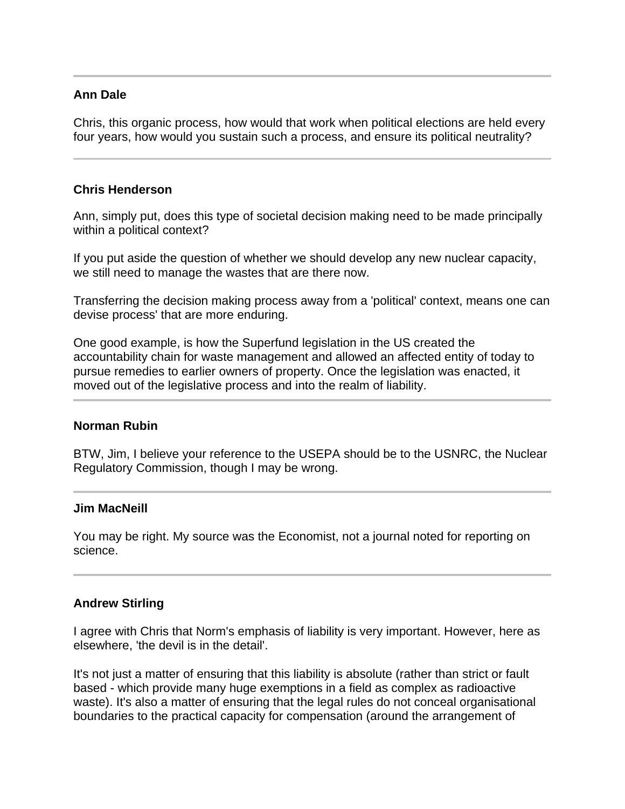Chris, this organic process, how would that work when political elections are held every four years, how would you sustain such a process, and ensure its political neutrality?

### **Chris Henderson**

Ann, simply put, does this type of societal decision making need to be made principally within a political context?

If you put aside the question of whether we should develop any new nuclear capacity, we still need to manage the wastes that are there now.

Transferring the decision making process away from a 'political' context, means one can devise process' that are more enduring.

One good example, is how the Superfund legislation in the US created the accountability chain for waste management and allowed an affected entity of today to pursue remedies to earlier owners of property. Once the legislation was enacted, it moved out of the legislative process and into the realm of liability.

#### **Norman Rubin**

BTW, Jim, I believe your reference to the USEPA should be to the USNRC, the Nuclear Regulatory Commission, though I may be wrong.

#### **Jim MacNeill**

You may be right. My source was the Economist, not a journal noted for reporting on science.

#### **Andrew Stirling**

I agree with Chris that Norm's emphasis of liability is very important. However, here as elsewhere, 'the devil is in the detail'.

It's not just a matter of ensuring that this liability is absolute (rather than strict or fault based - which provide many huge exemptions in a field as complex as radioactive waste). It's also a matter of ensuring that the legal rules do not conceal organisational boundaries to the practical capacity for compensation (around the arrangement of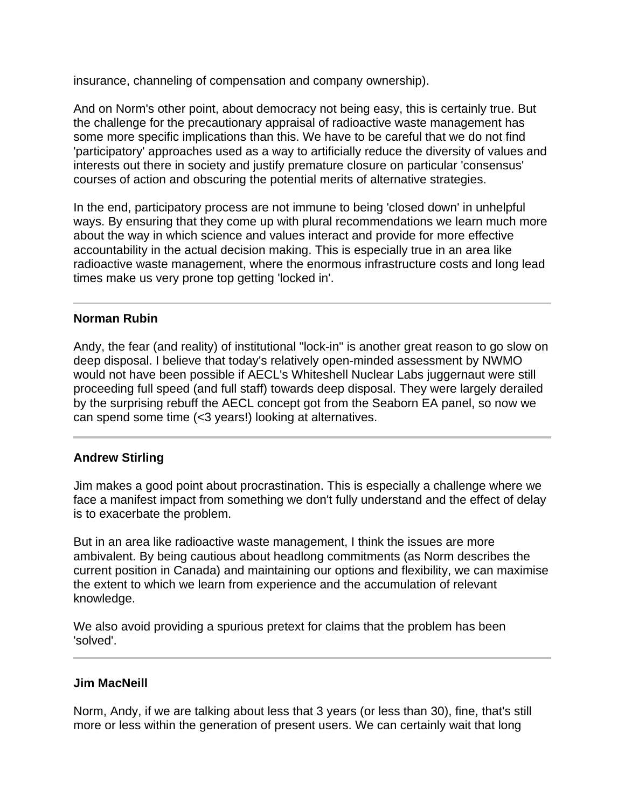insurance, channeling of compensation and company ownership).

And on Norm's other point, about democracy not being easy, this is certainly true. But the challenge for the precautionary appraisal of radioactive waste management has some more specific implications than this. We have to be careful that we do not find 'participatory' approaches used as a way to artificially reduce the diversity of values and interests out there in society and justify premature closure on particular 'consensus' courses of action and obscuring the potential merits of alternative strategies.

In the end, participatory process are not immune to being 'closed down' in unhelpful ways. By ensuring that they come up with plural recommendations we learn much more about the way in which science and values interact and provide for more effective accountability in the actual decision making. This is especially true in an area like radioactive waste management, where the enormous infrastructure costs and long lead times make us very prone top getting 'locked in'.

### **Norman Rubin**

Andy, the fear (and reality) of institutional "lock-in" is another great reason to go slow on deep disposal. I believe that today's relatively open-minded assessment by NWMO would not have been possible if AECL's Whiteshell Nuclear Labs juggernaut were still proceeding full speed (and full staff) towards deep disposal. They were largely derailed by the surprising rebuff the AECL concept got from the Seaborn EA panel, so now we can spend some time (<3 years!) looking at alternatives.

# **Andrew Stirling**

Jim makes a good point about procrastination. This is especially a challenge where we face a manifest impact from something we don't fully understand and the effect of delay is to exacerbate the problem.

But in an area like radioactive waste management, I think the issues are more ambivalent. By being cautious about headlong commitments (as Norm describes the current position in Canada) and maintaining our options and flexibility, we can maximise the extent to which we learn from experience and the accumulation of relevant knowledge.

We also avoid providing a spurious pretext for claims that the problem has been 'solved'.

# **Jim MacNeill**

Norm, Andy, if we are talking about less that 3 years (or less than 30), fine, that's still more or less within the generation of present users. We can certainly wait that long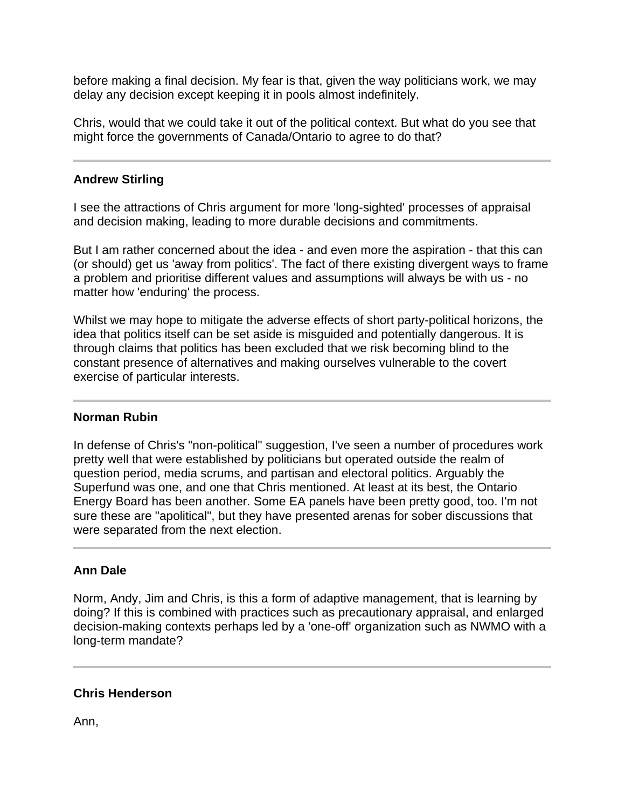before making a final decision. My fear is that, given the way politicians work, we may delay any decision except keeping it in pools almost indefinitely.

Chris, would that we could take it out of the political context. But what do you see that might force the governments of Canada/Ontario to agree to do that?

# **Andrew Stirling**

I see the attractions of Chris argument for more 'long-sighted' processes of appraisal and decision making, leading to more durable decisions and commitments.

But I am rather concerned about the idea - and even more the aspiration - that this can (or should) get us 'away from politics'. The fact of there existing divergent ways to frame a problem and prioritise different values and assumptions will always be with us - no matter how 'enduring' the process.

Whilst we may hope to mitigate the adverse effects of short party-political horizons, the idea that politics itself can be set aside is misguided and potentially dangerous. It is through claims that politics has been excluded that we risk becoming blind to the constant presence of alternatives and making ourselves vulnerable to the covert exercise of particular interests.

# **Norman Rubin**

In defense of Chris's "non-political" suggestion, I've seen a number of procedures work pretty well that were established by politicians but operated outside the realm of question period, media scrums, and partisan and electoral politics. Arguably the Superfund was one, and one that Chris mentioned. At least at its best, the Ontario Energy Board has been another. Some EA panels have been pretty good, too. I'm not sure these are "apolitical", but they have presented arenas for sober discussions that were separated from the next election.

# **Ann Dale**

Norm, Andy, Jim and Chris, is this a form of adaptive management, that is learning by doing? If this is combined with practices such as precautionary appraisal, and enlarged decision-making contexts perhaps led by a 'one-off' organization such as NWMO with a long-term mandate?

# **Chris Henderson**

Ann,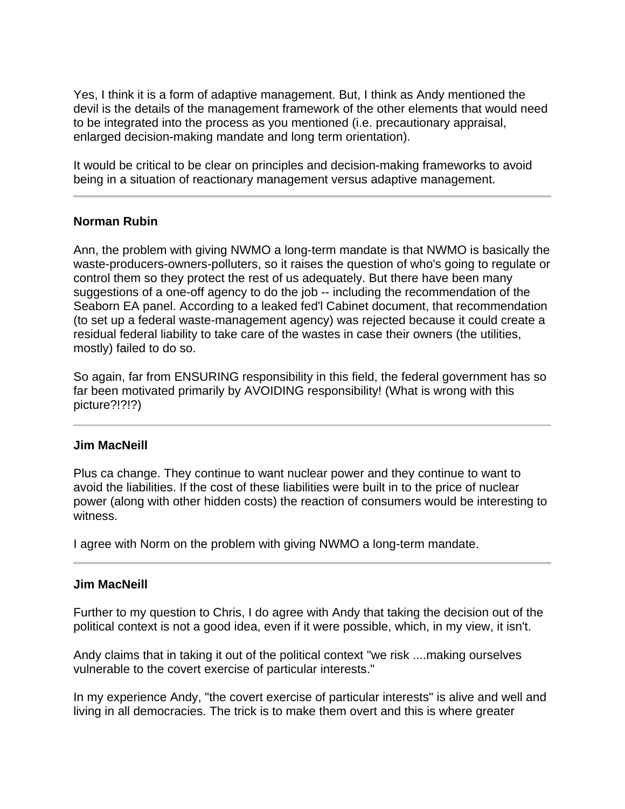Yes, I think it is a form of adaptive management. But, I think as Andy mentioned the devil is the details of the management framework of the other elements that would need to be integrated into the process as you mentioned (i.e. precautionary appraisal, enlarged decision-making mandate and long term orientation).

It would be critical to be clear on principles and decision-making frameworks to avoid being in a situation of reactionary management versus adaptive management.

# **Norman Rubin**

Ann, the problem with giving NWMO a long-term mandate is that NWMO is basically the waste-producers-owners-polluters, so it raises the question of who's going to regulate or control them so they protect the rest of us adequately. But there have been many suggestions of a one-off agency to do the job -- including the recommendation of the Seaborn EA panel. According to a leaked fed'l Cabinet document, that recommendation (to set up a federal waste-management agency) was rejected because it could create a residual federal liability to take care of the wastes in case their owners (the utilities, mostly) failed to do so.

So again, far from ENSURING responsibility in this field, the federal government has so far been motivated primarily by AVOIDING responsibility! (What is wrong with this picture?!?!?)

# **Jim MacNeill**

Plus ca change. They continue to want nuclear power and they continue to want to avoid the liabilities. If the cost of these liabilities were built in to the price of nuclear power (along with other hidden costs) the reaction of consumers would be interesting to witness.

I agree with Norm on the problem with giving NWMO a long-term mandate.

# **Jim MacNeill**

Further to my question to Chris, I do agree with Andy that taking the decision out of the political context is not a good idea, even if it were possible, which, in my view, it isn't.

Andy claims that in taking it out of the political context "we risk ....making ourselves vulnerable to the covert exercise of particular interests."

In my experience Andy, "the covert exercise of particular interests" is alive and well and living in all democracies. The trick is to make them overt and this is where greater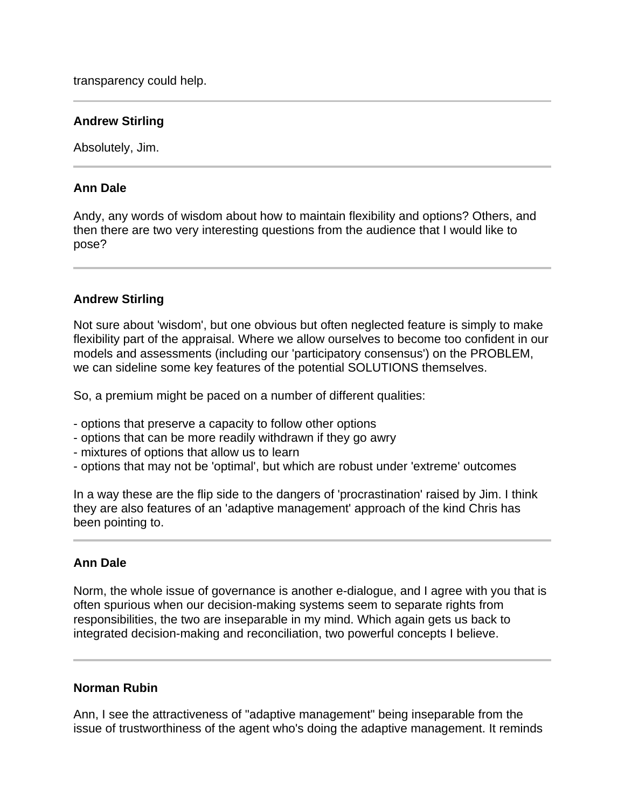transparency could help.

# **Andrew Stirling**

Absolutely, Jim.

# **Ann Dale**

Andy, any words of wisdom about how to maintain flexibility and options? Others, and then there are two very interesting questions from the audience that I would like to pose?

# **Andrew Stirling**

Not sure about 'wisdom', but one obvious but often neglected feature is simply to make flexibility part of the appraisal. Where we allow ourselves to become too confident in our models and assessments (including our 'participatory consensus') on the PROBLEM, we can sideline some key features of the potential SOLUTIONS themselves.

So, a premium might be paced on a number of different qualities:

- options that preserve a capacity to follow other options
- options that can be more readily withdrawn if they go awry
- mixtures of options that allow us to learn
- options that may not be 'optimal', but which are robust under 'extreme' outcomes

In a way these are the flip side to the dangers of 'procrastination' raised by Jim. I think they are also features of an 'adaptive management' approach of the kind Chris has been pointing to.

# **Ann Dale**

Norm, the whole issue of governance is another e-dialogue, and I agree with you that is often spurious when our decision-making systems seem to separate rights from responsibilities, the two are inseparable in my mind. Which again gets us back to integrated decision-making and reconciliation, two powerful concepts I believe.

# **Norman Rubin**

Ann, I see the attractiveness of "adaptive management" being inseparable from the issue of trustworthiness of the agent who's doing the adaptive management. It reminds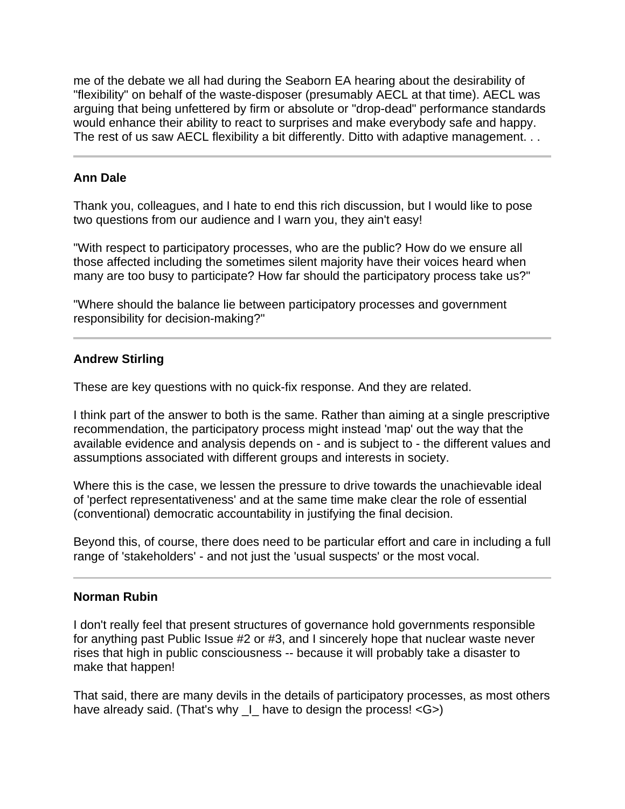me of the debate we all had during the Seaborn EA hearing about the desirability of "flexibility" on behalf of the waste-disposer (presumably AECL at that time). AECL was arguing that being unfettered by firm or absolute or "drop-dead" performance standards would enhance their ability to react to surprises and make everybody safe and happy. The rest of us saw AECL flexibility a bit differently. Ditto with adaptive management. . .

# **Ann Dale**

Thank you, colleagues, and I hate to end this rich discussion, but I would like to pose two questions from our audience and I warn you, they ain't easy!

"With respect to participatory processes, who are the public? How do we ensure all those affected including the sometimes silent majority have their voices heard when many are too busy to participate? How far should the participatory process take us?"

"Where should the balance lie between participatory processes and government responsibility for decision-making?"

# **Andrew Stirling**

These are key questions with no quick-fix response. And they are related.

I think part of the answer to both is the same. Rather than aiming at a single prescriptive recommendation, the participatory process might instead 'map' out the way that the available evidence and analysis depends on - and is subject to - the different values and assumptions associated with different groups and interests in society.

Where this is the case, we lessen the pressure to drive towards the unachievable ideal of 'perfect representativeness' and at the same time make clear the role of essential (conventional) democratic accountability in justifying the final decision.

Beyond this, of course, there does need to be particular effort and care in including a full range of 'stakeholders' - and not just the 'usual suspects' or the most vocal.

#### **Norman Rubin**

I don't really feel that present structures of governance hold governments responsible for anything past Public Issue #2 or #3, and I sincerely hope that nuclear waste never rises that high in public consciousness -- because it will probably take a disaster to make that happen!

That said, there are many devils in the details of participatory processes, as most others have already said. (That's why  $\Box$  have to design the process! <G>)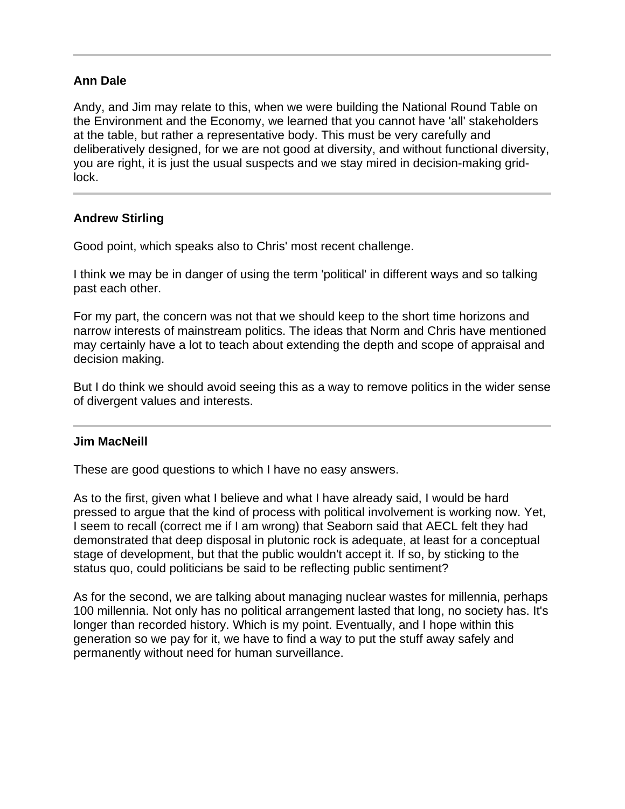Andy, and Jim may relate to this, when we were building the National Round Table on the Environment and the Economy, we learned that you cannot have 'all' stakeholders at the table, but rather a representative body. This must be very carefully and deliberatively designed, for we are not good at diversity, and without functional diversity, you are right, it is just the usual suspects and we stay mired in decision-making gridlock.

# **Andrew Stirling**

Good point, which speaks also to Chris' most recent challenge.

I think we may be in danger of using the term 'political' in different ways and so talking past each other.

For my part, the concern was not that we should keep to the short time horizons and narrow interests of mainstream politics. The ideas that Norm and Chris have mentioned may certainly have a lot to teach about extending the depth and scope of appraisal and decision making.

But I do think we should avoid seeing this as a way to remove politics in the wider sense of divergent values and interests.

#### **Jim MacNeill**

These are good questions to which I have no easy answers.

As to the first, given what I believe and what I have already said, I would be hard pressed to argue that the kind of process with political involvement is working now. Yet, I seem to recall (correct me if I am wrong) that Seaborn said that AECL felt they had demonstrated that deep disposal in plutonic rock is adequate, at least for a conceptual stage of development, but that the public wouldn't accept it. If so, by sticking to the status quo, could politicians be said to be reflecting public sentiment?

As for the second, we are talking about managing nuclear wastes for millennia, perhaps 100 millennia. Not only has no political arrangement lasted that long, no society has. It's longer than recorded history. Which is my point. Eventually, and I hope within this generation so we pay for it, we have to find a way to put the stuff away safely and permanently without need for human surveillance.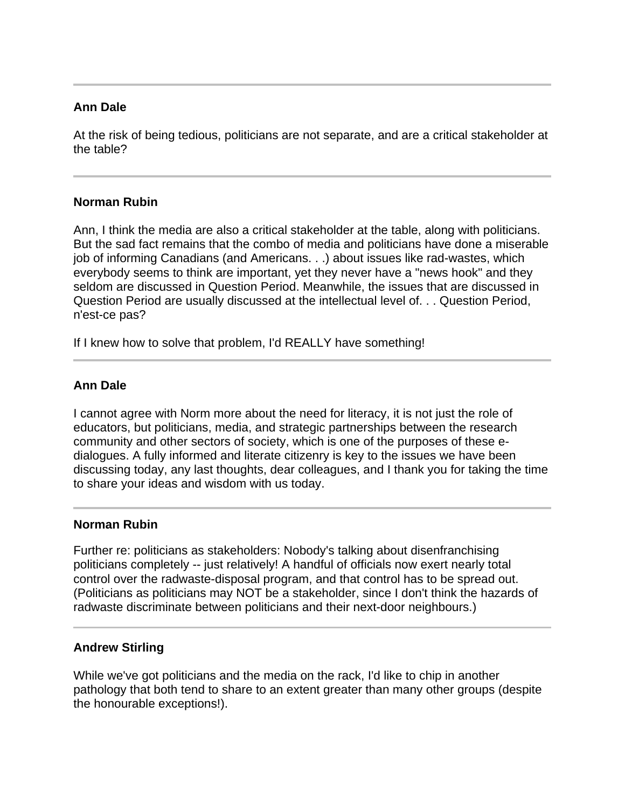At the risk of being tedious, politicians are not separate, and are a critical stakeholder at the table?

### **Norman Rubin**

Ann, I think the media are also a critical stakeholder at the table, along with politicians. But the sad fact remains that the combo of media and politicians have done a miserable job of informing Canadians (and Americans. . .) about issues like rad-wastes, which everybody seems to think are important, yet they never have a "news hook" and they seldom are discussed in Question Period. Meanwhile, the issues that are discussed in Question Period are usually discussed at the intellectual level of. . . Question Period, n'est-ce pas?

If I knew how to solve that problem, I'd REALLY have something!

### **Ann Dale**

I cannot agree with Norm more about the need for literacy, it is not just the role of educators, but politicians, media, and strategic partnerships between the research community and other sectors of society, which is one of the purposes of these edialogues. A fully informed and literate citizenry is key to the issues we have been discussing today, any last thoughts, dear colleagues, and I thank you for taking the time to share your ideas and wisdom with us today.

#### **Norman Rubin**

Further re: politicians as stakeholders: Nobody's talking about disenfranchising politicians completely -- just relatively! A handful of officials now exert nearly total control over the radwaste-disposal program, and that control has to be spread out. (Politicians as politicians may NOT be a stakeholder, since I don't think the hazards of radwaste discriminate between politicians and their next-door neighbours.)

# **Andrew Stirling**

While we've got politicians and the media on the rack, I'd like to chip in another pathology that both tend to share to an extent greater than many other groups (despite the honourable exceptions!).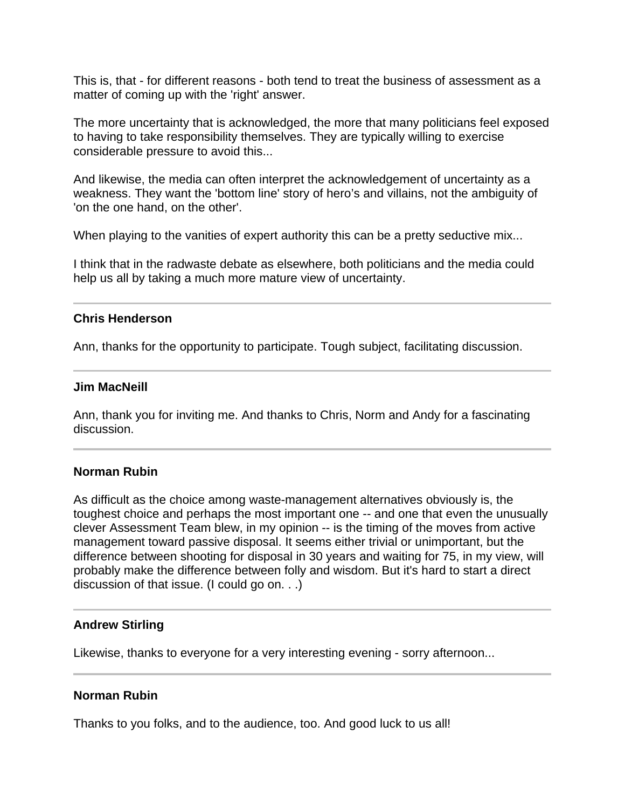This is, that - for different reasons - both tend to treat the business of assessment as a matter of coming up with the 'right' answer.

The more uncertainty that is acknowledged, the more that many politicians feel exposed to having to take responsibility themselves. They are typically willing to exercise considerable pressure to avoid this...

And likewise, the media can often interpret the acknowledgement of uncertainty as a weakness. They want the 'bottom line' story of hero's and villains, not the ambiguity of 'on the one hand, on the other'.

When playing to the vanities of expert authority this can be a pretty seductive mix...

I think that in the radwaste debate as elsewhere, both politicians and the media could help us all by taking a much more mature view of uncertainty.

#### **Chris Henderson**

Ann, thanks for the opportunity to participate. Tough subject, facilitating discussion.

#### **Jim MacNeill**

Ann, thank you for inviting me. And thanks to Chris, Norm and Andy for a fascinating discussion.

#### **Norman Rubin**

As difficult as the choice among waste-management alternatives obviously is, the toughest choice and perhaps the most important one -- and one that even the unusually clever Assessment Team blew, in my opinion -- is the timing of the moves from active management toward passive disposal. It seems either trivial or unimportant, but the difference between shooting for disposal in 30 years and waiting for 75, in my view, will probably make the difference between folly and wisdom. But it's hard to start a direct discussion of that issue. (I could go on. . .)

#### **Andrew Stirling**

Likewise, thanks to everyone for a very interesting evening - sorry afternoon...

### **Norman Rubin**

Thanks to you folks, and to the audience, too. And good luck to us all!